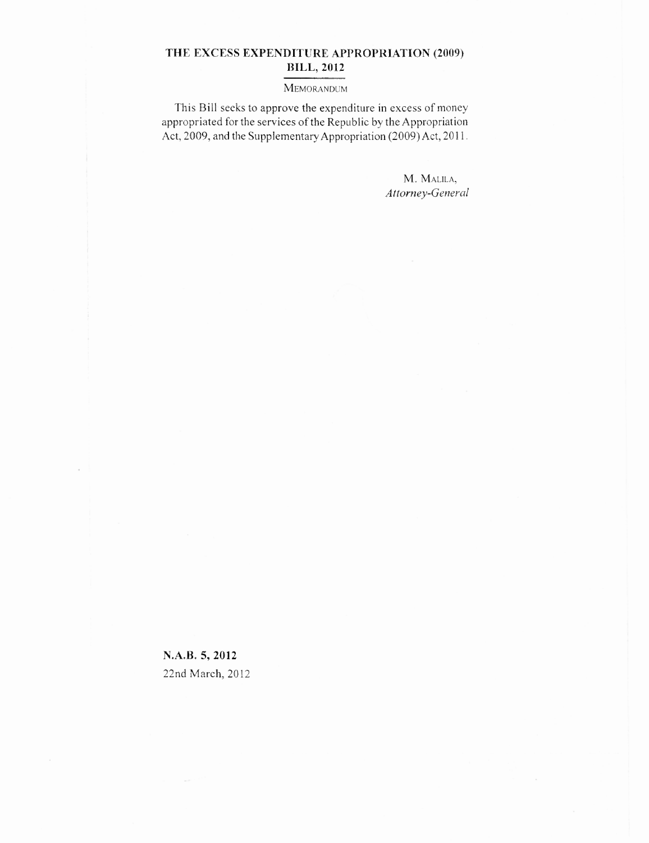## **THE EXCESS EXPENDITURE APPROPRIATION (2009) BILL, 2012**

## MEMORANDUM

This Bill seeks to approve the expenditure in excess of money appropriated for the services of the Republic by the Appropriation Act, 2009, and the Supplementary Appropriation (2009) Act, 2011.

> M. MALILA, *Attorney-General*

**N.A.B. 5, 2012** 22nd March, 2012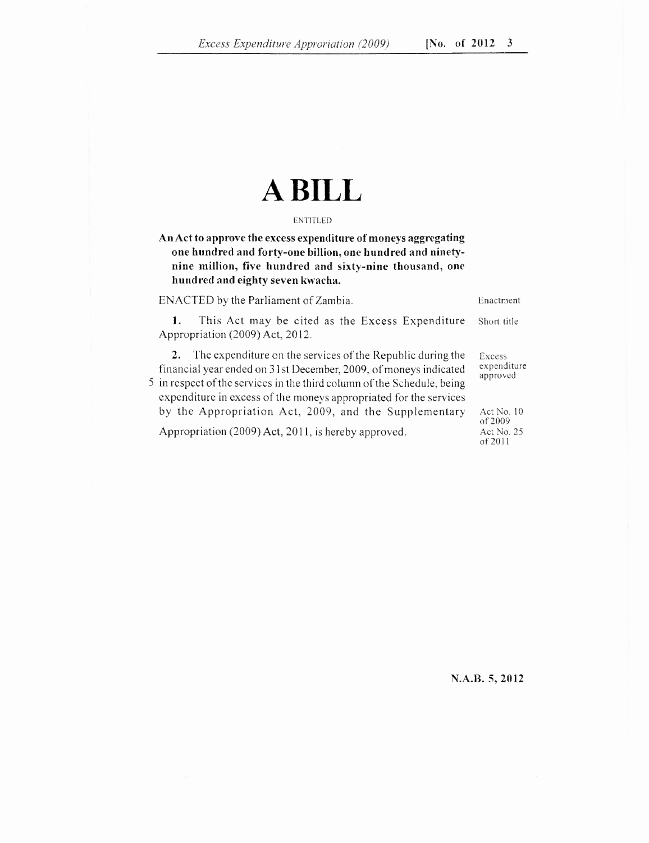## **A BILL**

## ENTITLED

**An Act to approve the excess expenditure of moneys aggregating one hundred and forty-one billion, one hundred and ninetynine million, five hundred and sixty-nine thousand, one hundred and eighty seven kwacha.**

ENACTED by the Parliament of Zambia. Enactment

1. This Act may be cited as the Excess Expenditure Short title Appropriation (2009) Act, 2012.

2. The expenditure on the services of the Republic during the Excess<br>sancial year ended on 31st December 2009, of moneys indicated expenditure financial year ended on  $31$ st December, 2009, of moneys indicated 5 in respect of the services in the third column of the Schedule, being expenditure in excess of the moneys appropriated for the services by the Appropriation Act, 2009, and the Supplementary Act No. 10 Appropriation (2009) Act, 2011, is hereby approved.

approved

of 2009<br>Act No. 25 of 2011

**N.A.B. 5, 2012**